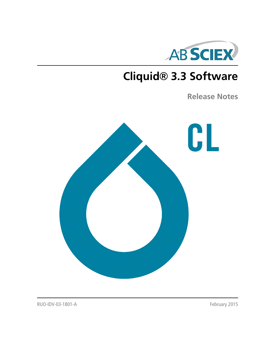

# **Cliquid® 3.3 Software**

**Release Notes**



RUO-IDV-03-1801-A February 2015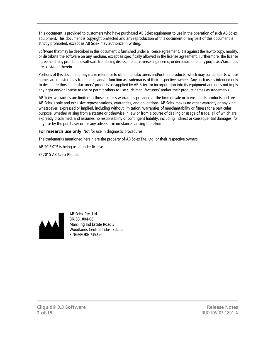This document is provided to customers who have purchased AB Sciex equipment to use in the operation of such AB Sciex equipment. This document is copyright protected and any reproduction of this document or any part of this document is strictly prohibited, except as AB Sciex may authorize in writing.

Software that may be described in this document is furnished under a license agreement. It is against the law to copy, modify, or distribute the software on any medium, except as specifically allowed in the license agreement. Furthermore, the license agreement may prohibit the software from being disassembled, reverse engineered, or decompiled for any purpose. Warranties are as stated therein.

Portions of this document may make reference to other manufacturers and/or their products, which may contain parts whose names are registered as trademarks and/or function as trademarks of their respective owners. Any such use is intended only to designate those manufacturers' products as supplied by AB Sciex for incorporation into its equipment and does not imply any right and/or license to use or permit others to use such manufacturers' and/or their product names as trademarks.

AB Sciex warranties are limited to those express warranties provided at the time of sale or license of its products and are AB Sciex's sole and exclusive representations, warranties, and obligations. AB Sciex makes no other warranty of any kind whatsoever, expressed or implied, including without limitation, warranties of merchantability or fitness for a particular purpose, whether arising from a statute or otherwise in law or from a course of dealing or usage of trade, all of which are expressly disclaimed, and assumes no responsibility or contingent liability, including indirect or consequential damages, for any use by the purchaser or for any adverse circumstances arising therefrom.

**For research use only.** Not for use in diagnostic procedures.

The trademarks mentioned herein are the property of AB Sciex Pte. Ltd. or their respective owners.

AB SCIEX™ is being used under license.

© 2015 AB Sciex Pte. Ltd.



AB Sciex Pte. Ltd. Blk 33, #04-06 Marsiling Ind Estate Road 3 Woodlands Central Indus. Estate. SINGAPORE 739256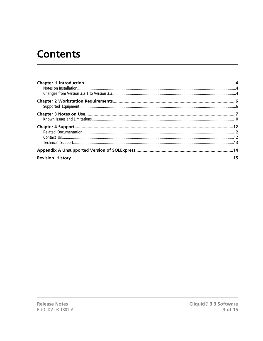## **Contents**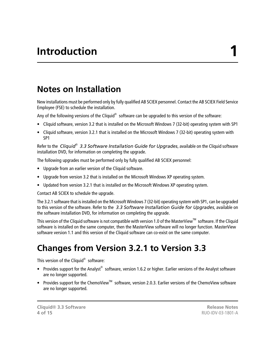### <span id="page-3-1"></span><span id="page-3-0"></span>**Notes on Installation**

New installations must be performed only by fully qualified AB SCIEX personnel. Contact the AB SCIEX Field Service Employee (FSE) to schedule the installation.

Any of the following versions of the Cliquid $^{\circledast}$  software can be upgraded to this version of the software:

- Cliquid software, version 3.2 that is installed on the Microsoft Windows 7 (32-bit) operating system with SP1
- Cliquid software, version 3.2.1 that is installed on the Microsoft Windows 7 (32-bit) operating system with SP1

Refer to the *Cliquid® 3.3 Software Installation Guide for Upgrades*, available on the Cliquid software installation DVD, for information on completing the upgrade.

The following upgrades must be performed only by fully qualified AB SCIEX personnel:

- Upgrade from an earlier version of the Cliquid software.
- Upgrade from version 3.2 that is installed on the Microsoft Windows XP operating system.
- Updated from version 3.2.1 that is installed on the Microsoft Windows XP operating system.

Contact AB SCIEX to schedule the upgrade.

The 3.2.1 software that is installed on the Microsoft Windows 7 (32-bit) operating system with SP1, can be upgraded to this version of the software. Refer to the *3.3 Software Installation Guide for Upgrades*, available on the software installation DVD, for information on completing the upgrade.

<span id="page-3-2"></span>This version of the Cliquid software is not compatible with version 1.0 of the MasterView<sup>TM</sup> software. If the Cliquid software is installed on the same computer, then the MasterView software will no longer function. MasterView software version 1.1 and this version of the Cliquid software can co-exist on the same computer.

### **Changes from Version 3.2.1 to Version 3.3**

This version of the Cliquid<sup>®</sup> software:

- Provides support for the Analyst® software, version 1.6.2 or higher. Earlier versions of the Analyst software are no longer supported.
- Provides support for the ChemoView<sup>™</sup> software, version 2.0.3. Earlier versions of the ChemoView software are no longer supported.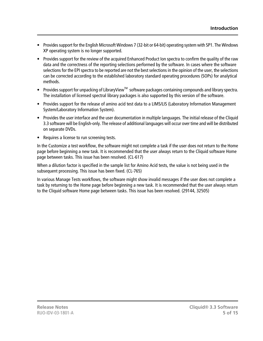- Provides support for the English Microsoft Windows 7 (32-bit or 64-bit) operating system with SP1. The Windows XP operating system is no longer supported.
- Provides support for the review of the acquired Enhanced Product Ion spectra to confirm the quality of the raw data and the correctness of the reporting selections performed by the software. In cases where the software selections for the EPI spectra to be reported are not the best selections in the opinion of the user, the selections can be corrected according to the established laboratory standard operating procedures (SOPs) for analytical methods.
- Provides support for unpacking of LibraryView<sup>™</sup> software packages containing compounds and library spectra. The installation of licensed spectral library packages is also supported by this version of the software.
- Provides support for the release of amino acid test data to a LIMS/LIS (Laboratory Information Management System/Laboratory Information System).
- Provides the user interface and the user documentation in multiple languages. The initial release of the Cliquid 3.3 software will be English-only. The release of additional languages will occur over time and will be distributed on separate DVDs.
- Requires a license to run screening tests.

In the Customize a test workflow, the software might not complete a task if the user does not return to the Home page before beginning a new task. It is recommended that the user always return to the Cliquid software Home page between tasks. This issue has been resolved. (CL-617)

When a dilution factor is specified in the sample list for Amino Acid tests, the value is not being used in the subsequent processing. This issue has been fixed. (CL-765)

In various Manage Tests workflows, the software might show invalid messages if the user does not complete a task by returning to the Home page before beginning a new task. It is recommended that the user always return to the Cliquid software Home page between tasks. This issue has been resolved. (29144, 32505)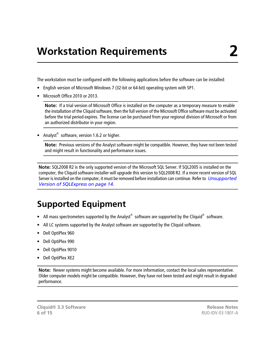<span id="page-5-0"></span>The workstation must be configured with the following applications before the software can be installed:

- English version of Microsoft Windows 7 (32-bit or 64-bit) operating system with SP1.
- Microsoft Office 2010 or 2013.

**Note:** If a trial version of Microsoft Office is installed on the computer as a temporary measure to enable the installation of the Cliquid software, then the full version of the Microsoft Office software must be activated before the trial period expires. The license can be purchased from your regional division of Microsoft or from an authorized distributor in your region.

• Analyst<sup>®</sup> software, version 1.6.2 or higher.

**Note:** Previous versions of the Analyst software might be compatible. However, they have not been tested and might result in functionality and performance issues.

<span id="page-5-1"></span>**Note:** SQL2008 R2 is the only supported version of the Microsoft SQL Server. If SQL2005 is installed on the computer, the Cliquid software installer will upgrade this version to SQL2008 R2. If a more recent version of SQL Server is installed on the computer, it must be removed before installation can continue. Refer to *[Unsupported](#page-13-0) [Version of SQLExpress on page 14](#page-13-0)*.

### **Supported Equipment**

- All mass spectrometers supported by the Analyst® software are supported by the Cliquid® software.
- All LC systems supported by the Analyst software are supported by the Cliquid software.
- Dell OptiPlex 960
- Dell OptiPlex 990
- Dell OptiPlex 9010
- Dell OptiPlex XE2

**Note:** Newer systems might become available. For more information, contact the local sales representative. Older computer models might be compatible. However, they have not been tested and might result in degraded performance.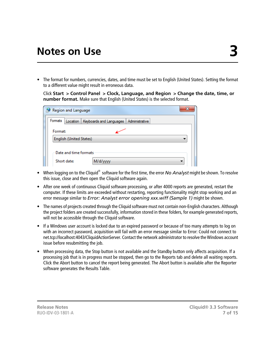<span id="page-6-0"></span>• The format for numbers, currencies, dates, and time must be set to English (United States). Setting the format to a different value might result in erroneous data.

Click **Start > Control Panel > Clock, Language, and Region > Change the date, time, or number format.** Make sure that English (United States) is the selected format.

|         | Region and Language     |                                    | 22             |
|---------|-------------------------|------------------------------------|----------------|
| Formats |                         | Location   Keyboards and Languages | Administrative |
| Format: |                         |                                    |                |
|         | English (United States) |                                    |                |
|         | Date and time formats   |                                    |                |
|         | Short date:             | M/d/yyyy                           |                |

- When logging on to the Cliquid® software for the first time, the error *No Analyst* might be shown. To resolve this issue, close and then open the Cliquid software again.
- After one week of continuous Cliquid software processing, or after 4000 reports are generated, restart the computer. If these limits are exceeded without restarting, reporting functionality might stop working and an error message similar to *Error: Analyst error opening xxx.wiff (Sample 1)* might be shown.
- The names of projects created through the Cliquid software must not contain non-English characters. Although the project folders are created successfully, information stored in these folders, for example generated reports, will not be accessible through the Cliquid software.
- If a Windows user account is locked due to an expired password or because of too many attempts to log on with an incorrect password, acquisition will fail with an error message similar to Error: Could not connect to net.tcp://localhost:4043/CliquidActionServer. Contact the network administrator to resolve the Windows account issue before resubmitting the job.
- When processing data, the Stop button is not available and the Standby button only affects acquisition. If a processing job that is in progress must be stopped, then go to the Reports tab and delete all waiting reports. Click the Abort button to cancel the report being generated. The Abort button is available after the Reporter software generates the Results Table.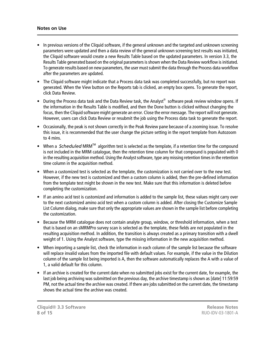#### **Notes on Use**

- In previous versions of the Cliquid software, if the general unknown and the targeted and unknown screening parameters were updated and then a data review of the general unknown screening test results was initiated, the Cliquid software would create a new Results Table based on the updated parameters. In version 3.3, the Results Table generated based on the original parameters is shown when the Data Review workflow is initiated. To generate results based on new parameters, the user must submit the data through the Process data workflow after the parameters are updated.
- The Cliquid software might indicate that a Process data task was completed successfully, but no report was generated. When the View button on the Reports tab is clicked, an empty box opens. To generate the report, click Data Review.
- During the Process data task and the Data Review task, the Analyst<sup>®</sup> software peak review window opens. If the information in the Results Table is modified, and then the Done button is clicked without changing the focus, then the Cliquid software might generate an error. Close the error message. The report will not generate. However, users can click Data Review or resubmit the job using the Process data task to generate the report.
- Occasionally, the peak is not shown correctly in the Peak Review pane because of a zooming issue. To resolve this issue, it is recommended that the user change the picture setting in the report template from Autozoom to 4 mins.
- When a *Scheduled* MRM<sup>TM</sup> algorithm test is selected as the template, if a retention time for the compound is not included in the MRM catalogue, then the retention time column for that compound is populated with 0 in the resulting acquisition method. Using the Analyst software, type any missing retention times in the retention time column in the acquisition method.
- When a customized test is selected as the template, the customization is not carried over to the new test. However, if the new test is customized and then a custom column is added, then the pre-defined information from the template test might be shown in the new test. Make sure that this information is deleted before completing the customization.
- If an amino acid test is customized and information is added to the sample list, these values might carry over to the next customized amino acid test when a custom column is added. After closing the Customize Sample List Column dialog, make sure that only the appropriate values are shown in the sample list before completing the customization.
- Because the MRM catalogue does not contain analyte group, window, or threshold information, when a test that is based on an sMRMPro survey scan is selected as the template, these fields are not populated in the resulting acquisition method. In addition, the transition is always created as a primary transition with a dwell weight of 1. Using the Analyst software, type the missing information in the new acquisition method.
- When importing a sample list, check the information in each column of the sample list because the software will replace invalid values from the imported file with default values. For example, if the value in the Dilution column of the sample list being imported is A, then the software automatically replaces the A with a value of 1, a valid default for this column.
- If an archive is created for the current date when no submitted jobs exist for the current date, for example, the last job being archiving was submitted on the previous day, the archive timestamp is shown as [date] 11:59:59 PM, not the actual time the archive was created. If there are jobs submitted on the current date, the timestamp shows the actual time the archive was created.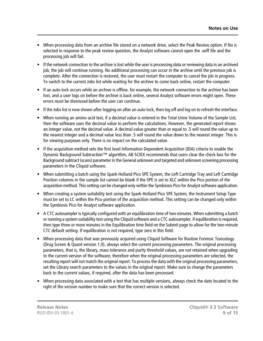- When processing data from an archive file stored on a network drive, select the Peak Review option. If No is selected in response to the peak review question, the Analyst software cannot open the .wiff file and the processing job will fail.
- If the network connection to the archive is lost while the user is processing data or reviewing data in an archived job, the job will continue running. No additional processing can occur in the archive until the previous job is complete. After the connection is restored, the user must restart the computer to cancel the job in progress. To switch to the current Jobs list while waiting for the archive to come back online, restart the computer.
- If an auto lock occurs while an archive is offline, for example, the network connection to the archive has been lost, and a user logs on before the archive is back online, several Analyst software errors might open. These errors must be dismissed before the user can continue.
- If the Jobs list is now shown after logging on after an auto lock, then log off and log on to refresh the interface.
- When running an amino acid test, if a decimal value is entered in the Total Urine Volume of the Sample List, then the software uses the decimal value to perform the calculations. However, the generated report shows an integer value, not the decimal value. A decimal value greater than or equal to .5 will round the value up to the nearest integer and a decimal value less than .5 will round the value down to the nearest integer. This is for viewing purposes only. There is no impact on the calculated value.
- If the acquisition method sets the first level Information Dependent Acquisition (IDA) criteria to enable the Dynamic Background Subtraction™ algorithm, AB SCIEX recommends that users clear the check box for the Background subtract (scans) parameter in the General unknown and targeted and unknown screening processing parameters in the Cliquid software.
- When submitting a batch using the Spark-Holland Pico SPE System, the Left Cartridge Tray and Left Cartridge Position columns in the sample list cannot be blank if the SPE is set to XLC within the Pico portion of the acquisition method. This setting can be changed only within the Symbiosis Pico for Analyst software application.
- When creating a system suitability test using the Spark-Holland Pico SPE System, the Instrument Setup Type must be set to LC within the Pico portion of the acquisition method. This setting can be changed only within the Symbiosis Pico for Analyst software application.
- A CTC autosampler is typically configured with an equilibration time of two minutes. When submitting a batch or running a system suitability test using the Cliquid software and a CTC autosampler, if equilibration is required, then type three or more minutes in the Equilibration time field on the Submit page to allow for the two-minute CTC default setting. If equilibration is not required, type zero in this field.
- When processing data that was previously acquired using Cliquid Software for Routine Forensic Toxicology (Drug Screen & Quant version 1.0), always select the current processing parameters. The original processing parameters, that is, the library, mass tolerance and purity threshold values, are not retained when upgrading to the current version of the software; therefore when the original processing parameters are selected, the resulting report will not match the original report. To process the data with the original processing parameters, set the Library search parameters to the values in the original report. Make sure to change the parameters back to the current values, if required, after the data has been processed.
- When processing data associated with a test that has multiple versions, always check the date located to the right of the version number to make sure that the correct version is selected.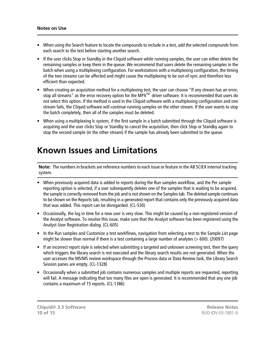- When using the Search feature to locate the compounds to include in a test, add the selected compounds from each search to the test before starting another search.
- If the user clicks Stop or Standby in the Cliquid software while running samples, the user can either delete the remaining samples or keep them in the queue. We recommend that users delete the remaining samples in the batch when using a multiplexing configuration. For workstations with a multiplexing configuration, the timing of the two streams can be affected and might cause the multiplexing to be out-of-sync and therefore less efficient than expected.
- When creating an acquisition method for a multiplexing test, the user can choose "If any stream has an error, stop all streams" as the error recovery option for the MPX<sup>™</sup> driver software. It is recommended that users do not select this option. If the method is used in the Cliquid software with a multiplexing configuration and one stream fails, the Cliquid software will continue running samples on the other stream. If the user wants to stop the batch completely, then all of the samples must be deleted.
- <span id="page-9-0"></span>• When using a multiplexing lc system, if the first sample in a batch submitted through the Cliquid software is acquiring and the user clicks Stop or Standby to cancel the acquisition, then click Stop or Standby again to stop the second sample (in the other stream) if the sample has already been submitted to the queue.

#### **Known Issues and Limitations**

**Note:** The numbers in brackets are reference numbers to each issue or feature in the AB SCIEX internal tracking system.

- When previously acquired data is added to reports during the Run samples workflow, and the Per sample reporting option is selected, if a user subsequently deletes one of the samples that is waiting to be acquired, the sample is correctly removed from the job and is not shown on the Samples tab. The deleted sample continues to be shown on the Reports tab, resulting in a generated report that contains only the previously acquired data that was added. This report can be disregarded. (CL-530)
- Occasionally, the log in time for a new user is very slow. This might be caused by a non-registered version of the Analyst software. To resolve this issue, make sure that the Analyst software has been registered using the Analyst User Registration dialog. (CL-605)
- In the Run samples and Customize a test workflows, navigation from selecting a test to the Sample List page might be slower than normal if there is a test containing a large number of analytes  $(> 600)$ . (20097)
- If an incorrect report style is selected when submitting a targeted and unknown screening test, then the query which triggers the library search is not executed and the library search results are not generated. When the user accesses the MS/MS review workspace through the Process data or Data Review task, the Library Search Session panes are empty. (CL-1328)
- Occasionally when a submitted job contains numerous samples and multiple reports are requested, reporting will fail. A message indicating that too many files are open is generated. It is recommended that any one job contains a maximum of 15 reports. (CL-1386)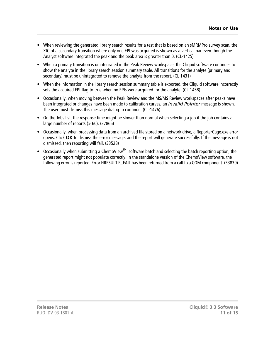- When reviewing the generated library search results for a test that is based on an sMRMPro survey scan, the XIC of a secondary transition where only one EPI was acquired is shown as a vertical bar even though the Analyst software integrated the peak and the peak area is greater than 0. (CL-1425)
- When a primary transition is unintegrated in the Peak Review workspace, the Cliquid software continues to show the analyte in the library search session summary table. All transitions for the analyte (primary and secondary) must be unintegrated to remove the analyte from the report. (CL-1431)
- When the information in the library search session summary table is exported, the Cliquid software incorrectly sets the acquired EPI flag to true when no EPIs were acquired for the analyte. (CL-1458)
- Occasionally, when moving between the Peak Review and the MS/MS Review workspaces after peaks have been integrated or changes have been made to calibration curves, an *Invalid Pointer* message is shown. The user must dismiss this message dialog to continue. (CL-1476)
- On the Jobs list, the response time might be slower than normal when selecting a job if the job contains a large number of reports  $(> 60)$ . (27866)
- Occasionally, when processing data from an archived file stored on a network drive, a ReporterCage.exe error opens. Click **OK** to dismiss the error message, and the report will generate successfully. If the message is not dismissed, then reporting will fail. (33528)
- Occasionally when submitting a ChemoView<sup>™</sup> software batch and selecting the batch reporting option, the generated report might not populate correctly. In the standalone version of the ChemoView software, the following error is reported: Error HRESULT E\_FAIL has been returned from a call to a COM component. (33839)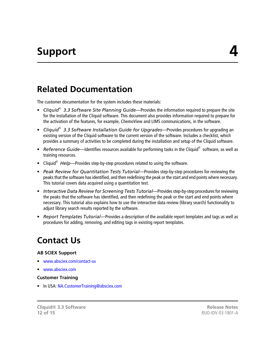### <span id="page-11-1"></span><span id="page-11-0"></span>**Related Documentation**

The customer documentation for the system includes these materials:

- **•** Cliquid<sup>®</sup> 3.3 Software Site Planning Guide—Provides the information required to prepare the site for the installation of the Cliquid software. This document also provides information required to prepare for the activation of the features, for example, ChemoView and LIMS communications, in the software.
- *Cliquid® 3.3 Software Installation Guide for Upgrades*—Provides procedures for upgrading an existing version of the Cliquid software to the current version of the software. Includes a checklist, which provides a summary of activities to be completed during the installation and setup of the Cliquid software.
- Reference Guide—Identifies resources available for performing tasks in the Cliquid® software, as well as training resources.
- Cliquid<sup>®</sup> Help—Provides step-by-step procedures related to using the software.
- *Peak Review for Quantitation Tests Tutorial*—Provides step-by-step procedures for reviewing the peaks that the software has identified, and then redefining the peak or the start and end points where necessary. This tutorial covers data acquired using a quantitation test.
- *Interactive Data Review for Screening Tests Tutorial—Provides step-by-step procedures for reviewing* the peaks that the software has identified, and then redefining the peak or the start and end points where necessary. This tutorial also explains how to use the interactive data review (library search) functionality to adjust library search results reported by the software.
- <span id="page-11-2"></span>• *Report Templates Tutorial*—Provides a description of the available report templates and tags as well as procedures for adding, removing, and editing tags in existing report templates.

### **Contact Us**

#### **AB SCIEX Support**

- <www.absciex.com/contact-us>
- [www.absciex.com](http://www.absciex.com)

#### **Customer Training**

• In USA: [NA.CustomerTraining@absciex.com](mailto:NA.CustomerTraining@absciex.com)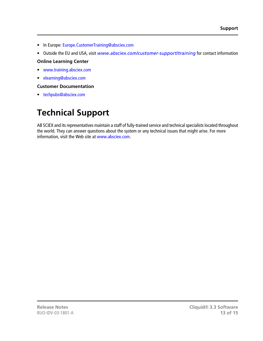- In Europe: [Europe.CustomerTraining@absciex.com](mailto:Europe.CustomerTraining@absciex.com)
- Outside the EU and USA, visit *[www.absciex.com/customer-support/training](#page-14-1)* for contact information

#### **Online Learning Center**

- [www.training.absciex.com](http://www.training.absciex.com)
- [elearning@absciex.com](mailto:elearning@absciex.com)

#### **Customer Documentation**

<span id="page-12-0"></span>• [techpubs@absciex.com](mailto:techpubs@absciex.com)

## **Technical Support**

AB SCIEX and its representatives maintain a staff of fully-trained service and technical specialists located throughout the world. They can answer questions about the system or any technical issues that might arise. For more information, visit the Web site at [www.absciex.com](http://www.absciex.com).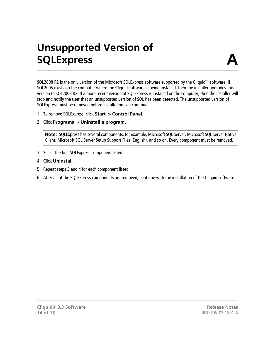## **Unsupported Version of SQLExpress**

<span id="page-13-0"></span>SQL2008 R2 is the only version of the Microsoft SQLExpress software supported by the Cliquid $^{\circledast}$  software. If SQL2005 exists on the computer where the Cliquid software is being installed, then the installer upgrades this version to SQL2008 R2. If a more recent version of SQLExpress is installed on the computer, then the installer will stop and notify the user that an unsupported version of SQL has been detected. The unsupported version of SQLExpress must be removed before installation can continue.

- 1. To remove SQLExpress, click **Start > Control Panel.**
- 2. Click **Programs > Uninstall a program.**

**Note:** SQLExpress has several components, for example, Microsoft SQL Server, Microsoft SQL Server Native Client, Microsoft SQL Server Setup Support Files (English), and so on. Every component must be removed.

- 3. Select the first SQLExpress component listed.
- 4. Click **Uninstall**.
- 5. Repeat steps 3 and 4 for each component listed.
- 6. After all of the SQLExpress components are removed, continue with the installation of the Cliquid software.